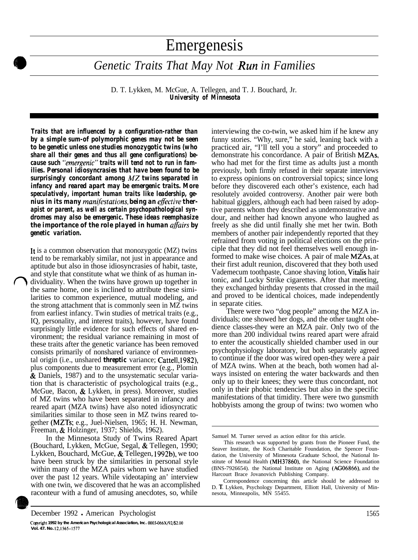# Emergenesis

*Genetic Traits That May Not Run in Families* 

D. T. Lykken, M. McGue, A. Tellegen, and T. J. Bouchard, Jr. *University of Minnesota*

*Traits that are influenced by a configuration-rather than by a simple sum-of polymorphic genes may not be seen to be genetic unless one studies monozygotic twins (who share all their genes and thus all gene configurations) because such "'emergenic" traits will tend not to run in families. Personal idiosyncrasies that have been found to be surprisingly concordant among A4Z twins separated in infancy and reared apart may be emergenic traits. More speculatively, important human traits like leadership, genius in its many mamfestations, being an eflective therapist or parent, as well as certain psychopathological syndromes may also be emergenic. These ideas reemphasize the importance of the role played in human aflairs by genetic variation.*

It is a common observation that monozygotic (MZ) twins tend to be remarkably similar, not just in appearance and aptitude but also in those idiosyncrasies of habit, taste, and style that constitute what we think of as human individuality. When the twins have grown up together in the same home, one is inclined to attribute these similarities to common experience, mutual modeling, and the strong attachment that is commonly seen in MZ twins from earliest infancy. Twin studies of metrical traits (e.g., IQ, personality, and interest traits), however, have found surprisingly little evidence for such effects of shared environment; the residual variance remaining in most of these traits after the genetic variance has been removed consists primarily of nonshared variance of environmental origin (i.e., unshared *threptic* variance; Cattell, 1982), plus components due to measurement error (e.g., Plomin & Daniels, 1987) and to the unsystematic secular variation that is characteristic of psychological traits (e.g., McGue, Bacon, & Lykken, in press). Moreover, studies of MZ twins who have been separated in infancy and reared apart (MZA twins) have also noted idiosyncratic similarities similar to those seen in MZ twins reared together (MZTs; e.g., Juel-Nielsen, 1965; H. H. Newman, Freeman, & Holzinger, 1937; Shields, 1962).

In the Minnesota Study of Twins Reared Apart (Bouchard, Lykken, McGue, Segal, & Tellegen, 1990; Lykken, Bouchard, McGue, & Tellegen, 1992b), we too have been struck by the similarities in personal style within many of the MZA pairs whom we have studied over the past 12 years. While videotaping an' interview with one twin, we discovered that he was an accomplished raconteur with a fund of amusing anecdotes, so, while



**Ccpyrigbt 1992 by the American Psychological Association, Inc. ooO3-066X/92/\$2.00 Vol. 47. No. 12, 1565-1577**

interviewing the co-twin, we asked him if he knew any funny stories. "Why, sure," he said, leaning back with a practiced air, "I'll tell you a story" and proceeded to demonstrate his concordance. A pair of British MZAs, who had met for the first time as adults just a month previously, both firmly refused in their separate interviews to express opinions on controversial topics; since long before they discovered each other's existence, each had resolutely avoided controversy. Another pair were both habitual gigglers, although each had been raised by adoptive parents whom they described as undemonstrative and dour, and neither had known anyone who laughed as freely as she did until finally she met her twin. Both members of another pair independently reported that they refrained from voting in political elections on the principle that they did not feel themselves well enough informed to make wise choices. A pair of male MZAs, at their first adult reunion, discovered that they both used Vademecum toothpaste, Canoe shaving lotion, Vitalis hair tonic, and Lucky Strike cigarettes. After that meeting, they exchanged birthday presents that crossed in the mail and proved to be identical choices, made independently in separate cities.

There were two "dog people" among the MZA individuals; one showed her dogs, and the other taught obedience classes-they were an MZA pair. Only two of the more than 200 individual twins reared apart were afraid to enter the acoustically shielded chamber used in our psychophysiology laboratory, but both separately agreed to continue if the door was wired open-they were a pair of MZA twins. When at the beach, both women had always insisted on entering the water backwards and then only up to their knees; they were thus concordant, not only in their phobic tendencies but also in the specific manifestations of that timidity. There were two gunsmith hobbyists among the group of twins: two women who

Samuel M. Turner served as action editor for this article.

This research was supported by grants from the Pioneer Fund, the Seaver Institute, the Koch Charitable Foundation, the Spencer Foundation, the University of Minnesota Graduate School, the National Institute of Mental Health (MH37860), the National Science Foundation (BNS-7926654). the National Institute on Aging (AGO6866), and the Harcourt Brace Jovanovich Publishing Company.

Correspondence concerning this article should be addressed to D. T. Lykken, Psychology Department, Elliott Hall, University of Minnesota, Minneapolis, MN 55455.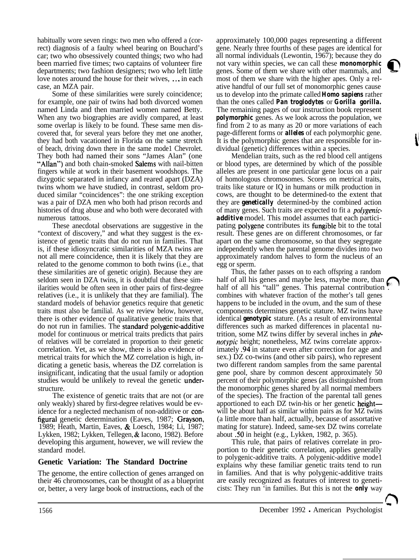habitually wore seven rings: two men who offered a (correct) diagnosis of a faulty wheel bearing on Bouchard's car; two who obsessively counted things; two who had been married five times; two captains of volunteer fire departments; two fashion designers; two who left little love notes around the house for their wives, . . . in each case, an MZA pair.

Some of these similarities were surely coincidence; for example, one pair of twins had both divorced women named Linda and then married women named Betty. When any two biographies are avidly compared, at least some overlap is likely to be found. These same men discovered that, for several years before they met one another, they had both vacationed in Florida on the same stretch of beach, driving down there in the same mode1 Chevrolet. They both had named their sons "James Alan" (one "Allan") and both chain-smoked Salems with nail-bitten fingers while at work in their basement woodshops. The dizygotic separated in infancy and reared apart (DZA) twins whom we have studied, in contrast, seldom produced similar "coincidences": the one striking exception was a pair of DZA men who both had prison records and histories of drug abuse and who both were decorated with numerous tattoos.

These anecdotal observations are suggestive in the "context of discovery," and what they suggest is the existence of genetic traits that do not run in families. That is, if these idiosyncratic similarities of MZA twins are not all mere coincidence, then it is likely that they are related to the genome common to both twins (i.e., that these similarities are of genetic origin). Because they are seldom seen in DZA twins, it is doubtful that these similarities would be often seen in other pairs of first-degree relatives (i.e., it is unlikely that they are familial). The standard models of behavior genetics require that genetic traits must also be familial. As we review below, however, there is other evidence of qualitative genetic traits that do not run in families. The standard polygenic-additive model for continuous or metrical traits predicts that pairs of relatives will be correlated in proportion to their genetic correlation. Yet, as we show, there is also evidence of metrical traits for which the MZ correlation is high, indicating a genetic basis, whereas the DZ correlation is insignificant, indicating that the usual family or adoption studies would be unlikely to reveal the genetic understructure.

The existence of genetic traits that are not (or are only weakly) shared by first-degree relatives would be evidence for a neglected mechanism of non-additive or configural genetic determination (Eaves, 1987; Grayson, 1989; Heath, Martin, Eaves, & Loesch, 1984; Li, 1987; Lykken, 1982; Lykken, Tellegen, & Iacono, 1982). Before developing this argument, however, we will review the standard model.

# **Genetic Variation: The Standard Doctrine**

The genome, the entire collection of genes arranged on their 46 chromosomes, can be thought of as a blueprint or, better, a very large book of instructions, each of the

approximately 100,000 pages representing a different gene. Nearly three fourths of these pages are identical for all normal individuals (Lewontin, 1967); because they do not vary within species, we can call these *monomorphic* genes. Some of them we share with other mammals, and most of them we share with the higher apes. Only a relative handful of our full set of monomorphic genes cause us to develop into the primate called *Homo sapiens* rather than the ones called *Pan troglodytes* or *Gorilla gorilla.* The remaining pages of our instruction book represent *polymorphic* genes. As we look across the population, we find from 2 to as many as 20 or more variations of each page-different forms or *alleles* of each polymorphic gene. It is the polymorphic genes that are responsible for individual (genetic) differences within a species.

Mendelian traits, such as the red blood cell antigens or blood types, are determined by which of the possible alleles are present in one particular gene locus on a pair of homologous chromosomes. Scores on metrical traits, traits like stature or IQ in humans or milk production in cows, are thought to be determined-to the extent that they are *genetically* determined-by the combined action of many genes. Such traits are expected to fit a *polygenicadditive* model. This model assumes that each participating polygene contributes its fungible bit to the total result. These genes are on different chromosomes, or far apart on the same chromosome, so that they segregate independently when the parental genome divides into two approximately random halves to form the nucleus of an egg or sperm.

Thus, the father passes on to each offspring a random half of all his genes and maybe less, maybe more, than  $\ell$ half of all his "tall" genes. This paternal contribution combines with whatever fraction of the mother's tall genes happens to be included in the ovum, and the sum of these components determines genetic stature. MZ twins have identical *genotypic* stature. (As a result of environmental differences such as marked differences in placenta1 nutrition, some MZ twins differ by several inches in *phenotypic* height; nonetheless, MZ twins correlate approximately .94 in stature even after correction for age and sex.) DZ co-twins (and other sib pairs), who represent two different random samples from the same parental gene pool, share by common descent approximately 50 percent of their polymorphic genes (as distinguished from the monomorphic genes shared by all normal members of the species). The fraction of the parental tall genes apportioned to each DZ twin-his or her genetic heightwill be about half as similar within pairs as for MZ twins (a little more than half, actually, because of assortative mating for stature). Indeed, same-sex DZ twins correlate about .50 in height (e.g., Lykken, 1982, p. 365).

This rule, that pairs of relatives correlate in proportion to their genetic correlation, applies generally to polygenic-additive traits. A polygenic-additive mode1 explains why these familiar genetic traits tend to run in families. And that is why polygenic-additive traits are easily recognized as features of interest to geneticists: They run 'in families. But this is not the *only* way

 $\bigcap$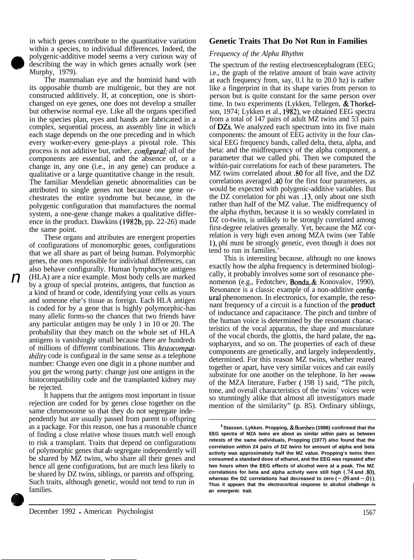in which genes contribute to the quantitative variation within a species, to individual differences. Indeed, the polygenic-additive model seems a very curious way of describing the way in which genes actually work (see Murphy, 1979).

The mammalian eye and the hominid hand with its opposable thumb are multigenic, but they are not constructed additively. If, at conception, one is shortchanged on eye genes, one does not develop a smaller but otherwise normal eye. Like all the organs specified in the species plan, eyes and hands are fabricated in a complex, sequential process, an assembly line in which each stage depends on the one preceding and in which every worker-every gene-plays a pivotal role. This process is not additive but, rather, *conjigurul;* all of the components are essential, and the absence of, or a change in, any one (i.e., in any gene) can produce a qualitative or a large quantitative change in the result. The familiar Mendelian genetic abnormalities can be attributed to single genes not because one gene orchestrates the entire syndrome but because, in the polygenic configuration that manufactures the normal system, a one-gene change makes a qualitative difference in the product. Dawkins (1982b, pp. 22-26) made the same point.

These organs and attributes are emergent properties of configurations of monomorphic genes, configurations that we all share as part of being human. Polymorphic genes, the ones responsible for individual differences, can also behave configurally. Human lymphocyte antigens (HLA) are a nice example. Most body cells are marked by a group of special proteins, antigens, that function as a kind of brand or code, identifying your cells as yours and someone else's tissue as foreign. Each HLA antigen is coded for by a gene that is highly polymorphic-has many allelic forms-so the chances that two friends have any particular antigen may be only 1 in 10 or 20. The probability that they match on the whole set of HLA antigens is vanishingly small because there are hundreds of millions of different combinations. This *histocompatibility* code is configural in the same sense as a telephone number: Change even one digit in a phone number and you get the wrong party: change just one antigen in the histocompatibility code and the transplanted kidney may be rejected.

It happens that the antigens most important in tissue rejection are coded for by genes close together on the same chromosome so that they do not segregate independently but are usually passed from parent to offspring as a package. For this reason, one has a reasonable chance of finding a close relative whose tissues match well enough to risk a transplant. Traits that depend on configurations of polymorphic genes that *do* segregate independently will be shared by MZ twins, who share all their genes and hence all gene configurations, but are much less likely to be shared by DZ twins, siblings, or parents and offspring. Such traits, although genetic, would not tend to run in families.

# **Genetic Traits That Do Not Run in Families**

#### *Frequency of the Alpha Rhythm*

The spectrum of the resting electroencephalogram (EEG; i.e., the graph of the relative amount of brain wave activity at each frequency from, say, 0.1 hz to 20.0 hz) is rather like a fingerprint in that its shape varies from person to person but is quite constant for the same person over time. In two experiments (Lykken, Tellegen, & Thorkelson, 1974; Lykken et al., 1982), we obtained EEG spectra from a total of 147 pairs of adult MZ twins and 53 pairs of DZs. We analyzed each spectrum into its five main components: the amount of EEG activity in the four classical EEG frequency bands, called delta, theta, alpha, and beta: and the midfrequency of the alpha component, a parameter that we called phi. Then we computed the within-pair correlations for each of these parameters. The MZ twins correlated about .80 for all five, and the DZ correlations averaged .40 for the first four parameters, as would be expected with polygenic-additive variables. But the DZ correlation for phi was .13, only about one sixth rather than half of the MZ value. The midfrequency of the alpha rhythm, because it is so weakly correlated in DZ co-twins, is unlikely to be strongly correlated among first-degree relatives generally. Yet, because the MZ correlation is very high even among MZA twins (see Table l), phi must be strongly genetic, even though it does not tend to run in families.'

This is interesting because, although no one knows exactly how the alpha frequency is determined biologically, it probably involves some sort of resonance phenomenon (e.g., Fedotchev, Bonda, & Konovalov, 1990). Resonance is a classic example of a non-additive configural phenomenon. In electronics, for example, the resonant frequency of a circuit is a function of the *product* of inductance and capacitance. The pitch and timbre of the human voice is determined by the resonant characteristics of the vocal apparatus, the shape and musculature of the vocal chords, the glottis, the hard palate, the nasopharynx, and so on. The properties of each of these components are genetically, and largely independently, determined. For this reason MZ twins, whether reared together or apart, have very similar voices and can easily substitute for one another on the telephone. In her **review** of the MZA literature, Farber ( 198 1) said, "The pitch, tone, and overall characteristics of the twins' voices were so stunningly alike that almost all investigators made mention of the similarity" (p. 85). Ordinary siblings,

*n*

<sup>&#</sup>x27; **Stassen. Lykken. Propping, & Bomben (1988) confirmed that the EEG spectra of MZA twins are about as similar within pairs as between retests of the same individuals, Propping (1977) also found that the correlation within 24 pairs of DZ twins for amount of alpha and beta activity was approximately half the MZ value. Propping's twins then consumed a standard dose of ethanol, and the EEG was repeated after two hours when the EEG effects of alcohol were at a peak. The MZ correlations for beta and alpha activity were still high (.74 and .80).** whereas the DZ correlations had decreased to zero  $(-.09 \text{ and } -.01)$ . **Thus it appears that the electrocortical response to alcohol challenge is an emergenic trait.**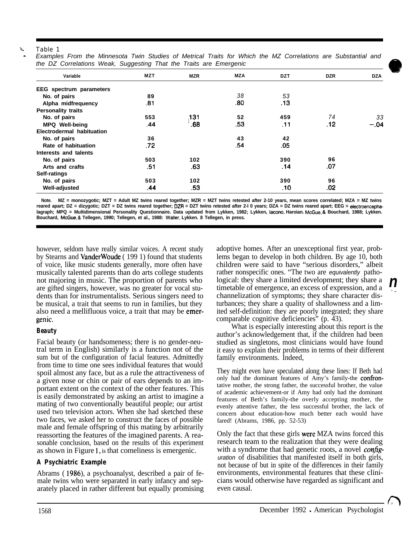#### Table 1

| the DZ Correlations Weak, Suggesting That the Traits are Emergenic |     |            |     |            |            |            |
|--------------------------------------------------------------------|-----|------------|-----|------------|------------|------------|
| Variable                                                           | MZT | <b>MZR</b> | MZA | <b>DZT</b> | <b>DZR</b> | <b>DZA</b> |
| <b>EEG</b> spectrum parameters                                     |     |            |     |            |            |            |
| No. of pairs                                                       | 89  |            | 38  | 53         |            |            |
| Alpha midfrequency                                                 | .81 |            | .80 | .13        |            |            |
| <b>Personality traits</b>                                          |     |            |     |            |            |            |
| No. of pairs                                                       | 553 | 131        | 52  | 459        | 74         | 33         |
| <b>MPQ Well-being</b>                                              | .44 | .68        | .53 | .11        | .12        | $-.04$     |
| Electrodermal habituation                                          |     |            |     |            |            |            |
| No. of pairs                                                       | 36  |            | 43  | 42         |            |            |
| Rate of habituation                                                | .72 |            | .54 | .05        |            |            |
| Interests and talents                                              |     |            |     |            |            |            |
| No. of pairs                                                       | 503 | 102        |     | 390        | 96         |            |
| Arts and crafts                                                    | .51 | .63        |     | .14        | .07        |            |
| Self-ratings                                                       |     |            |     |            |            |            |
| No. of pairs                                                       | 503 | 102        |     | 390        | 96         |            |
| <b>Well-adjusted</b>                                               | .44 | .53        |     | .10        | .02        |            |

Examples From the Minnesota Twin Studies of Metrical Traits for Which the MZ Correlations are Substantial and *the DZ Correlations Weak, Suggesting That the Traits are Emergenic*

**Note. MZ = monozygotic; MZT = Adult MZ twins reared together; MZR = MZT twins retested after 2-10 years, mean scores correlated; MZA = MZ twins** reared apart; DZ = dizygotic; DZT = DZ twins reared together; DZR = DZT twins retested after 2-I 0 years; DZA = DZ twins reared apart; EEG = electroencepha**lagraph; MPQ = Multidimensional Personality Questionnaire. Data updated from Lykken, 1982; Lykken, lacono. Haroian. McGue, & Bouchard, 1988; Lykken. Bouchard, McGue, 8 Tellegen, 1990; Tellegen, et al., 1988: Wailer, Lykken. 8 Tellegen, in press.**

however, seldom have really similar voices. A recent study adoptive homes. After an unexceptional first year, probby Stearns and VanderWoude ( 199 1) found that students lems began to develop in both children. By age 10, both of voice, like music students generally, more often have children were said to have "serious disorders," albeit musically talented parents than do arts college students rather nonspecific ones. "The two are *equivalently* musically talented parents than do arts college students not majoring in music. The proportion of parents who logical: they share a limited development; they share a are gifted singers, however, was no greater for vocal stu- timetable of emergence, an excess of expression, and a dents than for instrumentalists. Serious singers need to channelization of symptoms; they share character disbe musical, a trait that seems to run in families, but they turbances; they share a quality of shallowness and a limalso need a mellifluous voice, a trait that may be emer- ited self-definition: they are poorly integrated; they share genic. comparable cognitive deficiencies" (p. 43).

# *Beauty*

Facial beauty (or handsomeness; there is no gender-neutral term in English) similarly is a function not of the sum but of the configuration of facial features. Admittedly from time to time one sees individual features that would spoil almost any face, but as a rule the attractiveness of a given nose or chin or pair of ears depends to an important extent on the context of the other features. This is easily demonstrated by asking an artist to imagine a mating of two conventionally beautiful people; our artist used two television actors. When she had sketched these two faces, we asked her to construct the faces of possible male and female offspring of this mating by arbitrarily reassorting the features of the imagined parents. A reasonable conclusion, based on the results of this experiment as shown in Figure 1, is that comeliness is emergenic.

# *A Psychiatric Example*

Abrams ( 1986), a psychoanalyst, described a pair of female twins who were separated in early infancy and separately placed in rather different but equally promising

*n-\_*

What is especially interesting about this report is the author's acknowledgement that, if the children had been studied as singletons, most clinicians would have found it easy to explain their problems in terms of their different family environments. Indeed,

They might even have speculated along these lines: If Beth had only had the dominant features of Amy's family-the confrontative mother, the strong father, the successful brother, the value of academic achievement-or if Amy had only had the dominant features of Beth's family-the overly accepting mother, the evenly attentive father, the less successful brother, the lack of concern about education-how much better each would have fared! (Abrams, 1986, pp. 52-53)

Only the fact that these girls were MZA twins forced this research team to the realization that they were dealing with a syndrome that had genetic roots, a novel *configuration* of disabilities that manifested itself in both girls, not because of but in spite of the differences in their family environments, environmental features that these clinicians would otherwise have regarded as significant and even causal.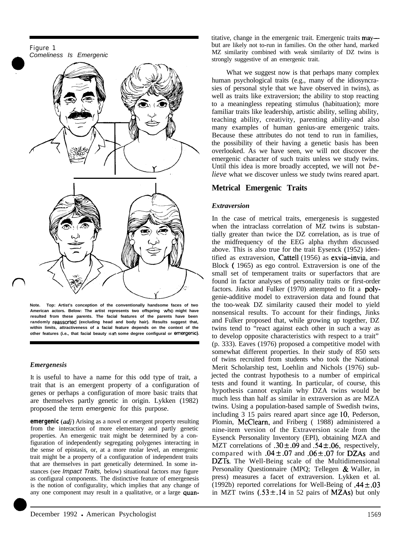

**Note. Top: Artist's conception of the conventionally handsome faces of two American actors. Below: The artist represents two offspring 'who might have resulted from these parents. The facial features of the parents have been randomly reasserted (excluding head and body hair). Results suggest that, within limits, attractiveness of a facial feature depends on the context of the** other features (i.e., that facial beauty is in some degree configural or emergenic).

#### *Emergenesis*

It is useful to have a name for this odd type of trait, a trait that is an emergent property of a configuration of genes or perhaps a configuration of more basic traits that are themselves partly genetic in origin. Lykken (1982) proposed the term *emergenic* for this purpose.

**emergenic** (*adj*) Arising as a novel or emergent property resulting from the interaction of more elementary and partly genetic properties. An emergenic trait might be determined by a configuration of independently segregating polygenes interacting in the sense of epistasis, or, at a more molar level, an emergenic trait might be a property of a configuration of independent traits that are themselves in part genetically determined. In some instances (see *Impact Traits,* below) situational factors may figure as configural components. The distinctive feature of emergenesis is the notion of configurality, which implies that any change of any one component may result in a qualitative, or a large quantitative, change in the emergenic trait. Emergenic traits maybut are likely not to-run in families. On the other hand, marked MZ similarity combined with weak similarity of DZ twins is strongly suggestive of an emergenic trait.

What we suggest now is that perhaps many complex human psychological traits (e.g., many of the idiosyncrasies of personal style that we have observed in twins), as well as traits like extraversion; the ability to stop reacting to a meaningless repeating stimulus (habituation); more familiar traits like leadership, artistic ability, selling ability, teaching ability, creativity, parenting ability-and also many examples of human genius-are emergenic traits. Because these attributes do not tend to run in families, the possibility of their having a genetic basis has been overlooked. As we have seen, we will not discover the emergenic character of such traits unless we study twins. Until this idea is more broadly accepted, we will not *believe* what we discover unless we study twins reared apart.

# **Metrical Emergenic Traits**

#### *Extraversion*

In the case of metrical traits, emergenesis is suggested when the intraclass correlation of MZ twins is substantially greater than twice the DZ correlation, as is true of the midfrequency of the EEG alpha rhythm discussed above. This is also true for the trait Eysenck (1952) identified as extraversion, Cattell (1956) as exvia-invia, and Block ( 1965) as ego control. Extraversion is one of the small set of temperament traits or superfactors that are found in factor analyses of personality traits or first-order factors. Jinks and Fulker (1970) attempted to fit a polygenie-additive model to extraversion data and found that the too-weak DZ similarity caused their model to yield nonsensical results. To account for their findings, Jinks and Fulker proposed that, while growing up together, DZ twins tend to "react against each other in such a way as to develop opposite characteristics with respect to a trait" (p. 333). Eaves (1976) proposed a competitive model with somewhat different properties. In their study of 850 sets of twins recruited from students who took the National Merit Scholarship test, Loehlin and Nichols (1976) subjected the contrast hypothesis to a number of empirical tests and found it wanting. In particular, of course, this hypothesis cannot explain why DZA twins would be much less than half as similar in extraversion as are MZA twins. Using a population-based sample of Swedish twins, including 3 15 pairs reared apart since age 10, Pederson, Plomin, McClearn, and Friberg ( 1988) administered a nine-item version of the Extraversion scale from the Eysenck Personality Inventory (EPI), obtaining MZA and MZT correlations of  $.30 \pm .09$  and  $.54 \pm .06$ , respectively, compared with  $.04 \pm .07$  and  $.06 \pm .07$  for DZAs and DZTs. The Well-Being scale of the Multidimensional Personality Questionnaire (MPQ; Tellegen & Waller, in press) measures a facet of extraversion. Lykken et al. (1992b) reported correlations for Well-Being of  $.44 \pm .03$ in MZT twins  $(.53 \pm .14$  in 52 pairs of **MZAs**) but only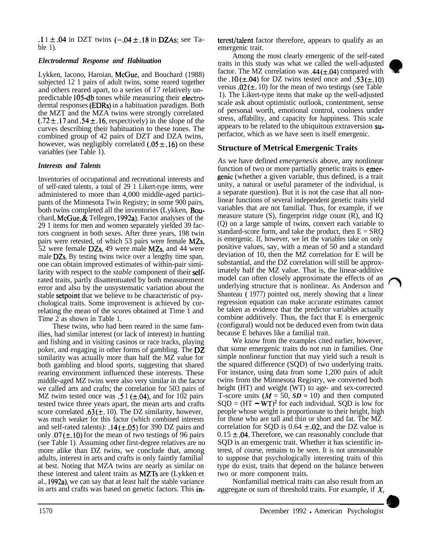.1  $\pm$  .04 in DZT twins (-.04  $\pm$  .18 in DZAs; see Ta-<br>ble 1). emergenic trait.

# *Electrodermal Response and Habituation*

Lykken, Iacono, Haroian, McGue, and Bouchard (1988) subjected 12 1 pairs of adult twins, some reared together and others reared apart, to a series of 17 relatively unpredictable 105-db tones while measuring their electrodermal responses (EDRs) in a habituation paradigm. Both the MZT and the MZA twins were strongly correlated  $(.72 \pm .17$  and  $.54 \pm .16$ , respectively) in the slope of the curves describing their habituation to these tones. The combined group of 42 pairs of DZT and DZA twins, however, was negligibly correlated  $(.05 \pm .16)$  on these variables (see Table 1).

# *Interests and Talents*

Inventories of occupational and recreational interests and of self-rated talents, a total of 29 1 Likert-type items, were administered to more than 4,000 middle-aged participants of the Minnesota Twin Registry; in some 900 pairs, both twins completed all the inventories (Lykken, **Bou**chard, McGue, & Tellegen, 1992a). Factor analyses of the 29 1 items for men and women separately yielded 39 factors congruent in both sexes. After three years, 198 twin pairs were retested, of which 53 pairs were female MZs, 52 were female DZs, 49 were male MZs, and 44 were male DZs. By testing twins twice over a lengthy time span, one can obtain improved estimates of within-pair similarity with respect to the *stable* component of their selfrated traits, partly disattentuated by both measurement error and also by the unsystematic variation about the stable setpoint that we believe to be characteristic of psychological traits. Some improvement is achieved by correlating the mean of the scores obtained at Time 1 and Time 2 as shown in Table 1.

These twins, who had been reared in the same families, had similar interest (or lack of interest) in hunting and fishing and in visiting casinos or race tracks, playing poker, and engaging in other forms of gambling. The DZ similarity was actually more than half the MZ value for both gambling and blood sports, suggesting that shared rearing environment influenced these interests. These middle-aged MZ twins were also very similar in the factor we called arts and crafts; the correlation for 503 pairs of MZ twins tested once was .5 1 ( $\pm$ .04), and for 102 pairs tested twice three years apart, the mean arts and crafts score correlated .63( $\pm$ , 10). The DZ similarity, however, was much weaker for this factor (which combined interests and self-rated talents):  $.14 (\pm .05)$  for 390 DZ pairs and only  $.07 (\pm .10)$  for the mean of two testings of 96 pairs (see Table 1). Assuming other first-degree relatives are no more alike than DZ twins, we conclude that, among adults, interest in arts and crafts is only faintly familial at best. Noting that MZA twins are nearly as similar on these interest and talent traits as MZTs are (Lykken et al., 1992a), we can say that at least half the stable variance in arts and crafts was based on genetic factors. This inemergenic trait.

Among the most clearly emergenic of the self-rated traits in this study was what we called the well-adjusted factor. The MZ correlation was  $.44 (\pm .04)$  compared with the  $.10 (\pm .04)$  for DZ twins tested once and  $.53 (\pm .10)$ versus  $.02 (\pm 0.10)$  for the mean of two testings (see Table 1). The Likert-type items that make up the well-adjusted scale ask about optimistic outlook, contentment, sense of personal worth, emotional control, coolness under stress, affability, and capacity for happiness. This scale appears to be related to the ubiquitous extraversion superfactor, which as we have seen is itself emergenic.

# **Structure of Metrical Emergenic Traits**

As we have defined *emergenesis* above, any nonlinear function of two or more partially genetic traits is emergenie (whether a given variable, thus defined, is a trait unity, a natural or useful parameter of the individual, is a separate question). But it is not the case that all nonlinear functions of several independent genetic traits yield variables that are not familial. Thus, for example, if we measure stature (S), fingerprint ridge count (R), and IQ (Q) on a large sample of twins, convert each variable to standard-score form, and take the product, then  $E = SRQ$ is emergenic. If, however, we let the variables take on only positive values, say, with a mean of 50 and a standard deviation of 10, then the MZ correlation for E will be substantial, and the DZ correlation will still be approximately half the MZ value. That is, the linear-additive model can often closely approximate the effects of an underlying structure that is nonlinear. As Anderson and Shanteau ( 1977) pointed out, merely showing that a linear regression equation can make accurate estimates cannot be taken as evidence that the predictor variables actually combine additively. Thus, the fact that E is emergenic (configural) would not be deduced even from twin data because E behaves like a familial trait.

We know from the examples cited earlier, however, that some emergenic traits do not run in families. One simple nonlinear function that may yield such a result is the squared difference (SQD) of two underlying traits. For instance, using data from some 1,200 pairs of adult twins from the Minnesota Registry, we converted both height (HT) and weight (WT) to age- and sex-corrected T-score units  $(M = 50, SD = 10)$  and then computed  $SQD = (HT - WT)^2$  for each individual. SQD is low for people whose weight is proportionate to their height, high for those who are tall and thin or short and fat. The MZ correlation for SQD is  $0.64 \pm 0.02$ , and the DZ value is  $0.15 \pm .04$ . Therefore, we can reasonably conclude that SQD is an emergenic trait. Whether it has scientific interest, of course, remains to be seen. It is not unreasonable to suppose that psychologically interesting traits of this type do exist, traits that depend on the balance between two or more component traits.

Nonfamilial metrical traits can also result from an aggregate or sum of threshold traits. For example, if  $X_i$ 

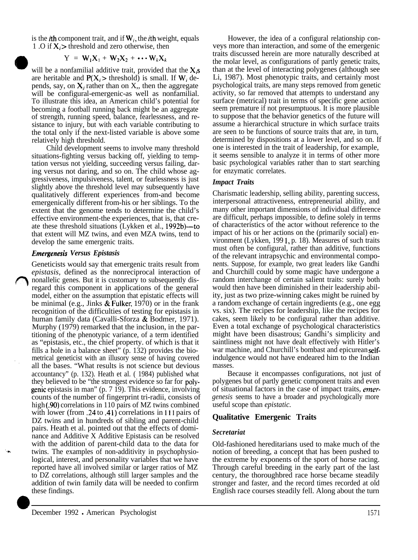is the *i*th component trait, and if  $W_i$ , the *i*th weight, equals 1.0 if  $X_i$  > threshold and zero otherwise, then

$$
Y = W_1 X_1 + W_2 X_2 + \cdots W_k X_k
$$

will be a nonfamilial additive trait, provided that the  $X_i$ s are heritable and  $P(X_i >$  threshold) is small. If  $W_i$  depends, say, on  $X_j$  rather than on X,, then the aggregate will be configural-emergenic-as well as nonfamilial. To illustrate this idea, an American child's potential for becoming a football running back might be an aggregate of strength, running speed, balance, fearlessness, and resistance to injury, but with each variable contributing to the total only if the next-listed variable is above some relatively high threshold.

Child development seems to involve many threshold situations-fighting versus backing off, yielding to temptation versus not yielding, succeeding versus failing, daring versus not daring, and so on. The child whose aggressiveness, impulsiveness, talent, or fearlessness is just slightly above the threshold level may subsequently have qualitatively different experiences from-and become emergenically different from-his or her siblings. To the extent that the genome tends to determine the child's effective environment-the experiences, that is, that create these threshold situations (Lykken et al., 1992b)—to that extent will MZ twins, and even MZA twins, tend to develop the same emergenic traits.

#### *Emergenesis Versus Epistasis*

Geneticists would say that emergenic traits result from *epistasis,* defined as the nonreciprocal interaction of nonallelic genes. But it is customary to subsequently disregard this component in applications of the general model, either on the assumption that epistatic effects will be minimal (e.g., Jinks & Fulker, 1970) or in the frank recognition of the difficulties of testing for epistasis in human family data (Cavalli-Sforza & Bodmer, 1971). Murphy (1979) remarked that the inclusion, in the partitioning of the phenotypic variance, of a term identified as "epistasis, etc., the chief property. of which is that it fills a hole in a balance sheet" (p. 132) provides the biometrical geneticist with an illusory sense of having covered all the bases. "What results is not science but devious accountancy" (p. 132). Heath et al. ( 1984) published what they believed to be "the strongest evidence so far for polygenie epistasis in man" (p. 7 19). This evidence, involving counts of the number of fingerprint tri-radii, consists of high (.90) correlations in 110 pairs of MZ twins combined with lower (from .24 to .41) correlations in 111 pairs of DZ twins and in hundreds of sibling and parent-child pairs. Heath et al. pointed out that the effects of dominance and Additive X Additive Epistasis can be resolved with the addition of parent-child data to the data for twins. The examples of non-additivity in psychophysiological, interest, and personality variables that we have reported have all involved similar or larger ratios of MZ to DZ correlations, although still larger samples and the addition of twin family data will be needed to confirm these findings.

However, the idea of a configural relationship conveys more than interaction, and some of the emergenic traits discussed herein are more naturally described at the molar level, as configurations of partly genetic traits, than at the level of interacting polygenes (although see Li, 1987). Most phenotypic traits, and certainly most psychological traits, are many steps removed from genetic activity, so far removed that attempts to understand any surface (metrical) trait in terms of specific gene action seem premature if not presumptuous. It is more plausible to suppose that the behavior genetics of the future will assume a hierarchical structure in which surface traits are seen to be functions of source traits that are, in turn, determined by dispositions at a lower level, and so on. If one is interested in the trait of leadership, for example, it seems sensible to analyze it in terms of other more basic psychological variables rather than to start searching for enzymatic correlates.

### *Impact Traits*

Charismatic leadership, selling ability, parenting success, interpersonal attractiveness, entrepreneurial ability, and many other important dimensions of individual difference are difficult, perhaps impossible, to define solely in terms of characteristics of the actor without reference to the impact of his or her actions on the (primarily social) environment (Lykken, 199 1, p. 18). Measures of such traits must often be configural, rather than additive, functions of the relevant intrapsychic and environmental components. Suppose, for example, two great leaders like Gandhi and Churchill could by some magic have undergone a random interchange of certain salient traits: surely both would then have been diminished in their leadership ability, just as two prize-winning cakes might be ruined by a random exchange of certain ingredients (e.g., one egg vs. six). The recipes for leadership, like the recipes for cakes, seem likely to be configural rather than additive. Even a total exchange of psychological characteristics might have been disastrous; Gandhi's simplicity and saintliness might not have dealt effectively with Hitler's war machine, and Churchill's bombast and epicurean selfindulgence would not have endeared him to the Indian masses.

Because it encompasses configurations, not just of polygenes but of partly genetic component traits and even of situational factors in the case of impact traits, *emergenesis* seems to have a broader and psychologically more useful scope than *epistatic.*

# **Qualitative Emergenic Traits**

#### *Secretariat*

Old-fashioned hereditarians used to make much of the notion of breeding, a concept that has been pushed to the extreme by exponents of the sport of horse racing. Through careful breeding in the early part of the last century, the thoroughbred race horse became steadily stronger and faster, and the record times recorded at old English race courses steadily fell. Along about the turn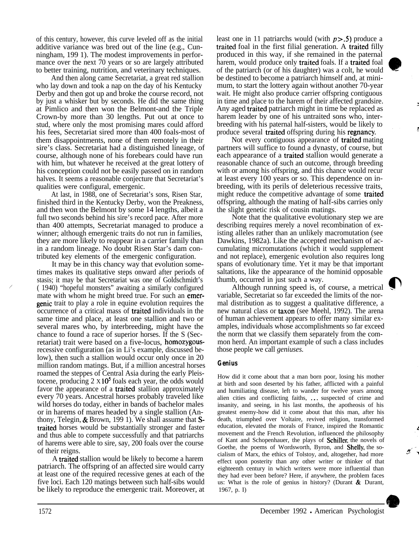of this century, however, this curve leveled off as the initial additive variance was bred out of the line (e.g., Cunningham, 199 1). The modest improvements in performance over the next 70 years or so are largely attributed to better training, nutrition, and veterinary techniques.

And then along came Secretariat, a great red stallion who lay down and took a nap on the day of his Kentucky Derby and then got up and broke the course record, not by just a whisker but by seconds. He did the same thing at Pimlico and then won the Belmont-and the Triple Crown-by more than 30 lengths. Put out at once to stud, where only the most promising mares could afford his fees, Secretariat sired more than 400 foals-most of them disappointments, none of them remotely in their sire's class. Secretariat had a distinguished lineage, of course, although none of his forebears could have run with him, but whatever he received at the great lottery of his conception could not be easily passed on in random halves. It seems a reasonable conjecture that Secretariat's qualities were configural, emergenic.

At last, in 1988, one of Secretariat's sons, Risen Star, finished third in the Kentucky Derby, won the Preakness, and then won the Belmont by some 14 lengths, albeit a full two seconds behind his sire's record pace. After more than 400 attempts, Secretariat managed to produce a winner; although emergenic traits do not run in families, they are more likely to reappear in a carrier family than in a random lineage. No doubt Risen Star's dam contributed key elements of the emergenic configuration.

It may be in this chancy way that evolution sometimes makes its qualitative steps onward after periods of stasis; it may be that Secretariat was one of Goldschmidt's ( 1940) "hopeful monsters" awaiting a similarly configured mate with whom he might breed true. For such an emergenie trait to play a role in equine evolution requires the occurrence of a critical mass of traited individuals in the same time and place, at least one stallion and two or several mares who, by interbreeding, might have the chance to found a race of superior horses. If the S (Secretariat) trait were based on a five-locus, homozygousrecessive configuration (as in Li's example, discussed below), then such a stallion would occur only once in 20 million random matings. But, if a million ancestral horses roamed the steppes of Central Asia during the early Pleistocene, producing  $2 \times 10^5$  foals each year, the odds would favor the appearance of a traited stallion approximately every 70 years. Ancestral horses probably traveled like wild horses do today, either in bands of bachelor males or in harems of mares headed by a single stallion (Anthony, Telegin, & Brown, 199 1). We shall assume that Straited horses would be substantially stronger and faster and thus able to compete successfully and that patriarchs of harems were able to sire, say, 200 foals over the course of their reigns.

A traited stallion would be likely to become a harem patriarch. The offspring of an affected sire would carry at least one of the required recessive genes at each of the five loci. Each 120 matings between such half-sibs would be likely to reproduce the emergenic trait. Moreover, at least one in 11 patriarchs would (with  $p > 0.5$ ) produce a traited foal in the first filial generation. A traited filly produced in this way, if she remained in the paternal harem, would produce only traited foals. If a traited foal of the patriarch (or of his daughter) was a colt, he would be destined to become a patriarch himself and, at minimum, to start the lottery again without another 70-year wait. He might also produce carrier offspring contiguous in time and place to the harem of their affected grandsire. Any aged traited patriarch might in time be replaced as harem leader by one of his untraited sons who, interbreeding with his paternal half-sisters, would be likely to produce several traited offspring during his regnancy.

Not every contiguous appearance of traited mating partners will suffice to found a dynasty, of course, but each appearance of a traited stallion would generate a reasonable chance of such an outcome, through breeding with or among his offspring, and this chance would recur at least every 100 years or so. This dependence on inbreeding, with its perils of deleterious recessive traits, might reduce the competitive advantage of some traited offspring, although the mating of half-sibs carries only the slight genetic risk of cousin matings.

Note that the qualitative evolutionary step we are describing requires merely a novel recombination of existing alleles rather than an unlikely macromutation (see Dawkins, 1982a). Like the accepted mechanism of accumulating micromutations (which it would supplement and not replace), emergenic evolution also requires long spans of evolutionary time. Yet it may be that important saltations, like the appearance of the hominid opposable thumb, occurred in just such a way.

Although running speed is, of course, a metrical variable, Secretariat so far exceeded the limits of the normal distribution as to suggest a qualitative difference, a new natural class or taxon (see Meehl, 1992). The arena of human achievement appears to offer many similar examples, individuals whose accomplishments so far exceed the norm that we classify them separately from the common herd. An important example of such a class includes those people we call *geniuses.*

#### *Genius*

How did it come about that a man born poor, losing his mother at birth and soon deserted by his father, afflicted with a painful and humiliating disease, left to wander for twelve years among alien cities and conflicting faiths, ... suspected of crime and insanity, and seeing, in his last months, the apotheosis of his greatest enemy-how did it come about that this man, after his death, triumphed over Voltaire, revived religion, transformed education, elevated the morals of France, inspired the Romantic movement and the French Revolution, influenced the philosophy of Kant and Schopenhauer, the plays of Schiller, the novels of Goethe, the poems of Wordsworth, Byron, and Shelly, the socialism of Marx, the ethics of Tolstoy, and, altogether, had more effect upon posterity than any other writer or thinker of that eighteenth century in which writers were more influential than they had ever been before? Here, if anywhere, the problem faces us: What is the role of genius in history? (Durant  $\&$  Durant, 1967, p. I)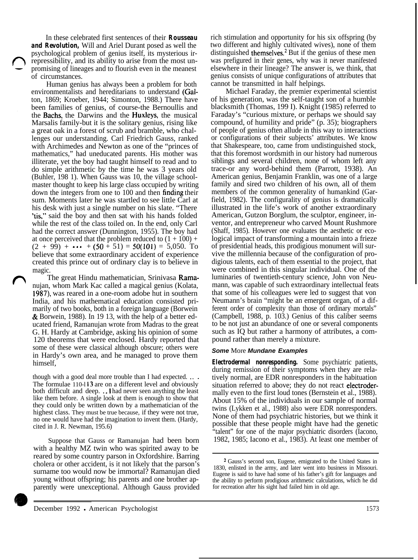In these celebrated first sentences of their *Rousseau and Revolution,* Will and Ariel Durant posed as well the psychological problem of genius itself, its mysterious irrepressibility, and its ability to arise from the most unpromising of lineages and to flourish even in the meanest of circumstances.

Human genius has always been a problem for both environmentalists and hereditarians to understand (Galton, 1869; Kroeber, 1944; Simonton, 1988.) There have been families of genius, of course-the Bernoullis and the **Bachs**, the Darwins and the **Huxleys**, the musical Marsalis family-but it is the solitary genius, rising like a great oak in a forest of scrub and bramble, who challenges our understanding. Carl Friedrich Gauss, ranked with Archimedes and Newton as one of the "princes of mathematics," had uneducated parents. His mother was illiterate, yet the boy had taught himself to read and to do simple arithmetic by the time he was 3 years old (Buhler, 198 1). When Gauss was 10, the village schoolmaster thought to keep his large class occupied by writing down the integers from one to 100 and then finding their sum. Moments later he was startled to see little Carl at his desk with just a single number on his slate. "There 'tis," said the boy and then sat with his hands folded while the rest of the class toiled on. In the end, only Carl had the correct answer (Dunnington, 1955). The boy had at once perceived that the problem reduced to  $(1 + 100)$  +  $(2 + 99) + \cdots + (50 + 51) = 50(101) = 5,050$ . To believe that some extraordinary accident of experience created this prince out of ordinary clay is to believe in magic.

The great Hindu mathematician, Srinivasa Ramanujan, whom Mark Kac called a magical genius (Kolata, 1987), was reared in a one-room adobe hut in southern India, and his mathematical education consisted primarily of two books, both in a foreign language (Borwein & Borwein, 1988). In 19 13, with the help of a better educated friend, Ramanujan wrote from Madras to the great G. H. Hardy at Cambridge, asking his opinion of some 120 theorems that were enclosed. Hardy reported that some of these were classical although obscure; others were in Hardy's own area, and he managed to prove them himself,

though with a good deal more trouble than I had expected. . . . The formulae 110-l 13 are on a different level and obviously both difficult and deep. . . I had never seen anything the least like them before. A single look at them is enough to show that they could only be written down by a mathematician of the highest class. They must be true because, if they were not true, no one would have had the imagination to invent them. (Hardy, cited in J. R. Newman, 195.6)

Suppose that Gauss or Ramanujan had been born with a healthy MZ twin who was spirited away to be reared by some country parson in Oxfordshire. Barring cholera or other accident, is it not likely that the parson's surname too would now be immortal? Ramanujan died young without offspring; his parents and one brother apparently were unexceptional. Although Gauss provided rich stimulation and opportunity for his six offspring (by two different and highly cultivated wives), none of them distinguished themselves.<sup>2</sup> But if the genius of these men was prefigured in their genes, why was it never manifested elsewhere in their lineage? The answer is, we think, that genius consists of unique configurations of attributes that cannot be transmitted in half helpings.

Michael Faraday, the premier experimental scientist of his generation, was the self-taught son of a humble blacksmith (Thomas, 199 I). Knight (1985) referred to Faraday's "curious mixture, or perhaps we should say compound, of humility and pride" (p. 35); biographers of people of genius often allude in this way to interactions or configurations of their subjects' attributes. We know that Shakespeare, too, came from undistinguished stock, that this foremost wordsmith in our history had numerous siblings and several children, none of whom left any trace-or any word-behind them (Parrott, 1938). An American genius, Benjamin Franklin, was one of a large family and sired two children of his own, all of them members of the common generality of humankind (Garfield, 1982). The configurality of genius is dramatically illustrated in the life's work of another extraordinary American, Gutzon Borglum, the sculptor, engineer, inventor, and entrepreneur who carved Mount Rushmore (Shaff, 1985). However one evaluates the aesthetic or ecological impact of transforming a mountain into a frieze of presidential heads, this prodigious monument will survive the millennia because of the configuration of prodigious talents, each of them essential to the project, that were combined in this singular individual. One of the luminaries of twentieth-century science, John von Neumann, was capable of such extraordinary intellectual feats that some of his colleagues were led to suggest that von Neumann's brain "might be an emergent organ, of a different order of complexity than those of ordinary mortals" (Campbell, 1988, p. 103.) Genius of this caliber seems to be not just an abundance of one or several components such as IQ but rather a harmony of attributes, a compound rather than merely a mixture.

#### *Some* More *Mundane Examples*

*Electrodermal nonresponding.* Some psychiatric patients, during remission of their symptoms when they are relatively normal, are EDR nonresponders in the habituation situation referred to above; they do not react electrodermally even to the first loud tones (Bernstein et al., 1988). About 15% of the individuals in our sample of normal twins (Lykken et al., 1988) also were EDR nonresponders. None of them had psychiatric histories, but we think it possible that these people might have had the genetic "talent" for one of the major psychiatric disorders (Iacono, 1982, 1985; Iacono et al., 1983). At least one member of

<sup>2</sup> Gauss's second son, Eugene, emigrated to the United States in 1830, enlisted in the army, and later went into business in Missouri. Eugene is said to have had some of his father's gift for languages and the ability to perform prodigious arithmetic calculations, which he did for recreation after his sight had failed him in old age.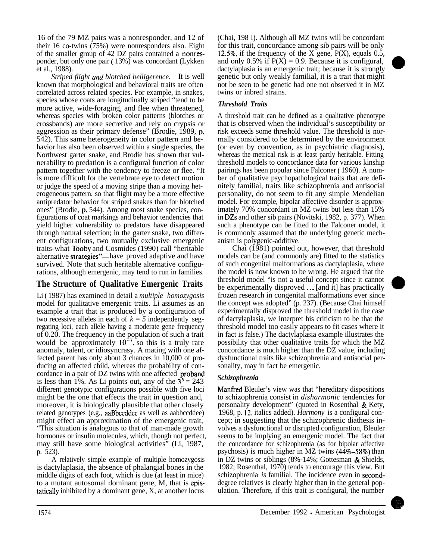16 of the 79 MZ pairs was a nonresponder, and 12 of their 16 co-twins (75%) were nonresponders also. Eight of the smaller group of 42 DZ pairs contained a nonresponder, but only one pair ( 13%) was concordant (Lykken et al., 1988).

*Striped flight und blotched belligerence.* It is well known that morphological and behavioral traits are often correlated across related species. For example, in snakes, species whose coats are longitudinally striped "tend to be more active, wide-foraging, and flee when threatened, whereas species with broken color patterns (blotches or crossbands) are more secretive and rely on crypsis or aggression as their primary defense" (Brodie, 1989, p. 542). This same heterogeneity in color pattern and behavior has also been observed within a single species, the Northwest garter snake, and Brodie has shown that vulnerability to predation is a configural function of color pattern together with the tendency to freeze or flee. "It is more difficult for the vertebrate eye to detect motion or judge the speed of a moving stripe than a moving heterogeneous pattern, so that flight may be a more effective antipredator behavior for striped snakes than for blotched ones" (Brodie, p. 544). Among most snake species, configurations of coat markings and behavior tendencies that yield higher vulnerability to predators have disappeared through natural selection; in the garter snake, two different configurations, two mutually exclusive emergenic traits-what Tooby and Cosmides (1990) call "heritable alternative strategies"—have proved adaptive and have survived. Note that such heritable alternative configurations, although emergenic, may tend to run in families.

# **The Structure of Qualitative Emergenic Traits**

Li ( 1987) has examined in detail a *multiple homozygosis* model for qualitative emergenic traits. Li assumes as an example a trait that is produced by a configuration of two recessive alleles in each of  $k = 5$  independently segregating loci, each allele having a moderate gene frequency of 0.20. The frequency in the population of such a trait would be approximately  $10^{-7}$ , so this is a truly rare anomaly, talent, or idiosyncrasy. A mating with one affected parent has only about 3 chances in 10,000 of producing an affected child, whereas the probability of concordance in a pair of DZ twins with one affected proband is less than 1%. As Li points out, any of the  $3^5 = 243$ different genotypic configurations possible with five loci might be the one that effects the trait in question and, moreover, it is biologically plausible that other closely related genotypes (e.g., aaBbccddee as well as aabbccddee) might effect an approximation of the emergenic trait, "This situation is analogous to that of man-made growth hormones or insulin molecules, which, though not perfect, may still have some biological activities" (Li, 1987, p. 523).

A relatively simple example of multiple homozygosis is dactylaplasia, the absence of phalangial bones in the middle digits of each foot, which is due (at least in mice) to a mutant autosomal dominant gene, M, that is epistatically inhibited by a dominant gene, X, at another locus

(Chai, 198 I). Although all MZ twins will be concordant for this trait, concordance among sib pairs will be only 12.5%, if the frequency of the X gene,  $P(X)$ , equals 0.5, and only 0.5% if  $P(X) = 0.9$ . Because it is configural, dactylaplasia is an emergenic trait; because it is strongly genetic but only weakly familial, it is a trait that might not be seen to be genetic had one not observed it in MZ twins or inbred strains.

# *Threshold Traits*

A threshold trait can be defined as a qualitative phenotype that is observed when the individual's susceptibility or risk exceeds some threshold value. The threshold is normally considered to be determined by the environment (or even by convention, as in psychiatric diagnosis), whereas the metrical risk is at least partly heritable. Fitting threshold models to concordance data for various kinship pairings has been popular since Falconer ( 1960). A number of qualitative psychopathological traits that are definitely familial, traits like schizophrenia and antisocial personality, do not seem to fit any simple Mendelian model. For example, bipolar affective disorder is approximately 70% concordant in MZ twins but less than 15% in DZs and other sib pairs (Novitski, 1982, p. 377). When such a phenotype can be fitted to the Falconer model, it is commonly assumed that the underlying genetic mechanism is polygenic-additive.

Chai (1981) pointed out, however, that threshold models can be (and commonly are) fitted to the statistics of such congenital malformations as dactylaplasia, where the model is now known to be wrong. He argued that the threshold model "is not a useful concept since it cannot be experimentally disproved ... [and it] has practically frozen research in congenital malformations ever since the concept was adopted" (p. 237). (Because Chai himself experimentally disproved the threshold model in the case of dactylaplasia, we interpret his criticism to be that the threshold model too easily appears to fit cases where it in fact is false.) The dactylaplasia example illustrates the possibility that other qualitative traits for which the MZ concordance is much higher than the DZ value, including dysfunctional traits like schizophrenia and antisocial personality, may in fact be emergenic.

# *Schizophrenia*

Manfred Bleuler's view was that "hereditary dispositions to schizophrenia consist in *disharmonic* tendencies for personality development" (quoted in Rosenthal  $\&$  Kety, 1968, p. 12, italics added). *Harmony* is a configural concept; in suggesting that the schizophrenic diathesis involves a dysfunctional or disrupted configuration, Bleuler seems to be implying an emergenic model. The fact that the concordance for schizophrenia (as for bipolar affective psychosis) is much higher in MZ twins (44%-58%) than in DZ twins or siblings (8%-14%; Gottesman & Shields, 1982; Rosenthal, 1970) tends to encourage this view. But schizophrenia *is* familial. The incidence even in seconddegree relatives is clearly higher than in the general population. Therefore, if this trait is configural, the number



**0**

**0.**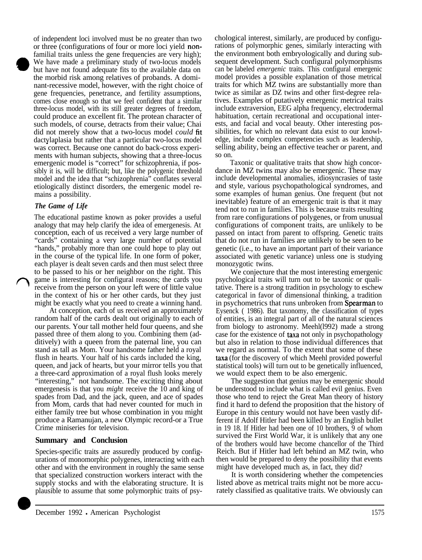of independent loci involved must be no greater than two or three (configurations of four or more loci yield nonfamilial traits unless the gene frequencies are very high); We have made a preliminary study of two-locus models but have not found adequate fits to the available data on the morbid risk among relatives of probands. A dominant-recessive model, however, with the right choice of gene frequencies, penetrance, and fertility assumptions, comes close enough so that we feel confident that a similar three-locus model, with its still greater degrees of freedom, could produce an excellent fit. The protean character of such models, of course, detracts from their value; Chai did not merely show that a two-locus model *could* fit dactvlaplasia but rather that a particular two-locus model was correct. Because one cannot do back-cross experiments with human subjects, showing that a three-locus emergenic model is "correct" for schizophrenia, if possibly it is, will be difficult; but, like the polygenic threshold model and the idea that "schizophrenia" conflates several etiologically distinct disorders, the emergenic model remains a possibility.

#### *The Game of Life*

The educational pastime known as poker provides a useful analogy that may help clarify the idea of emergenesis. At conception, each of us received a very large number of "cards" containing a very large number of potential "hands," probably more than one could hope to play out in the course of the typical life. In one form of poker, each player is dealt seven cards and then must select three to be passed to his or her neighbor on the right. This game is interesting for configural reasons; the cards you receive from the person on your left were of little value in the context of his or her other cards, but they just might be exactly what you need to create a winning hand.

At conception, each of us received an approximately random half of the cards dealt out originally to each of our parents. Your tall mother held four queens, and she passed three of them along to you. Combining them (additively) with a queen from the paternal line, you can stand as tall as Mom. Your handsome father held a royal flush in hearts. Your half of his cards included the king, queen, and jack of hearts, but your mirror tells you that a three-card approximation of a royal flush looks merely "interesting," not handsome. The exciting thing about emergenesis is that you *might* receive the 10 and king of spades from Dad, and the jack, queen, and ace of spades from Mom, cards that had never counted for much in either family tree but whose combination in you might produce a Ramanujan, a new Olympic record-or a True Crime miniseries for television.

#### **Summary and Conclusion**

Species-specific traits are assuredly produced by configurations of monomorphic polygenes, interacting with each other and with the environment in roughly the same sense that specialized construction workers interact with the supply stocks and with the elaborating structure. It is plausible to assume that some polymorphic traits of psychological interest, similarly, are produced by configurations of polymorphic genes, similarly interacting with the environment both embryologically and during subsequent development. Such configural polymorphisms can be labeled *emergenic* traits. This configural emergenic model provides a possible explanation of those metrical traits for which MZ twins are substantially more than twice as similar as DZ twins and other first-degree relatives. Examples of putatively emergenic metrical traits include extraversion, EEG alpha frequency, electrodermal habituation, certain recreational and occupational interests, and facial and vocal beauty. Other interesting possibilities, for which no relevant data exist to our knowledge, include complex competencies such as leadership, selling ability, being an effective teacher or parent, and so on.

Taxonic or qualitative traits that show high concordance in MZ twins may also be emergenic. These may include developmental anomalies, idiosyncrasies of taste and style, various psychopathological syndromes, and some examples of human genius. One frequent (but not inevitable) feature of an emergenic trait is that it may tend not to run in families. This is because traits resulting from rare configurations of polygenes, or from unusual configurations of component traits, are unlikely to be passed on intact from parent to offspring. Genetic traits that do not run in families are unlikely to be seen to be genetic (i.e., to have an important part of their variance associated with genetic variance) unless one is studying monozygotic twins.

We conjecture that the most interesting emergenic psychological traits will turn out to be taxonic or qualitative. There is a strong tradition in psychology to eschew categorical in favor of dimensional thinking, a tradition in psychometrics that runs unbroken from Spearman to Eysenck ( 1986). But taxonomy, the classification of types of entities, is an integral part of all of the natural sciences from biology to astronomy. Meehl(l992) made a strong case for the existence of taxa not only in psychopathology but also in relation to those individual differences that we regard as normal. To the extent that some of these taxa (for the discovery of which Meehl provided powerful statistical tools) will turn out to be genetically influenced, we would expect them to be also emergenic.

The suggestion that genius may be emergenic should be understood to include what is called evil genius. Even those who tend to reject the Great Man theory of history find it hard to defend the proposition that the history of Europe in this century would not have been vastly different if Adolf Hitler had been killed by an English bullet in 19 18. If Hitler had been one of 10 brothers, 9 of whom survived the First World War, it is unlikely that any one of the brothers would have become chancellor of the Third Reich. But if Hitler had left behind an MZ twin, who then would be prepared to deny the possibility that events might have developed much as, in fact, they did?

It is worth considering whether the competencies listed above as metrical traits might not be more accurately classified as qualitative traits. We obviously can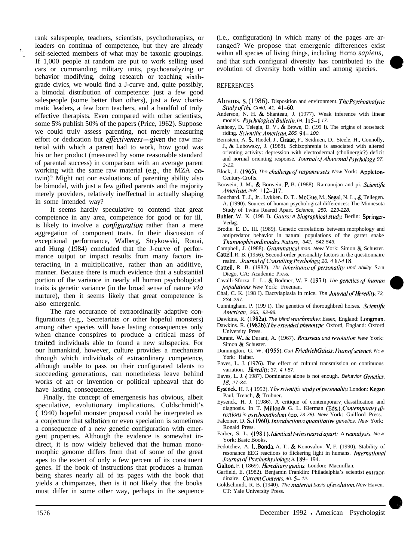rank salespeople, teachers, scientists, psychotherapists, or leaders on continua of competence, but they are already self-selected members of what may be taxonic groupings. If 1,000 people at random are put to work selling used cars or commanding military units, psychoanalyzing or behavior modifying, doing research or teaching sixthgrade civics, we would find a J-curve and, quite possibly, a bimodal distribution of competence: just a few good salespeople (some better than others), just a few charismatic leaders, a few born teachers, and a handful of truly effective therapists. Even compared with other scientists, some 5% publish 50% of the papers (Price, 1962). Suppose we could truly assess parenting, not merely measuring effort or dedication but *effectiveness*—given the raw material with which a parent had to work, how good was his or her product (measured by some reasonable standard of parental success) in comparison with an average parent working with the same raw material (e.g., the MZA cotwin)? Might not our evaluations of parenting ability also be bimodal, with just a few gifted parents and the majority merely providers, relatively ineffectual in actually shaping in some intended way?

It seems hardly speculative to contend that great competence in any area, competence for good or for ill, is likely to involve a *configuration* rather than a mere aggregation of component traits. In their discussion of exceptional performance, Walberg, Strykowski, Rouai, and Hung (1984) concluded that the J-curve of performance output or impact results from many factors interacting in a multiplicative, rather than an additive, manner. Because there is much evidence that a substantial portion of the variance in nearly all human psychological traits is genetic variance (in the broad sense of nature *via* nurture), then it seems likely that great competence is also emergenic.

The rare occurance of extraordinarily adaptive configurations (e.g., Secretariats or other hopeful monsters) among other species will have lasting consequences only when chance conspires to produce a critical mass of traited individuals able to found a new subspecies. For our humankind, however, culture provides a mechanism through which individuals of extraordinary competence, although unable to pass on their configurated talents to succeeding generations, can nonetheless leave behind works of art or invention or political upheaval that do have lasting consequences.

Finally, the concept of emergenesis has obvious, albeit speculative, evolutionary implications. Coldschmidt's ( 1940) hopeful monster proposal could be interpreted as a conjecture that saltation or even speciation is sometimes a consequence of a new genetic configuration with emergent properties. Although the evidence is somewhat indirect, it is now widely believed that the human monomorphic genome differs from that of some of the great apes to the extent of only a few percent of its constituent genes. If the book of instructions that produces a human being shares nearly all of its pages with the book that yields a chimpanzee, then is it not likely that the books must differ in some other way, perhaps in the sequence (i.e., configuration) in which many of the pages are arranged? We propose that emergenic differences exist within all species of living things, including *Homo sapiens,* and that such configural diversity has contributed to the evolution of diversity both within and among species.

#### REFERENCES

- Abrams, S. (1986). Disposition and environment. The *Psychoanalytic 5kd.v of'rhe Child, 41, 41-60.*
- Anderson, N. H. & Shanteau, J. (1977). Weak inference with linear models. *Psychologicul Bnllefin, 64,* <sup>1</sup> IS- <sup>I</sup> *17.*
- Anthony, D.. Telegin, D. V.,  $\&$  Brown, D. (199 I). The origins of horseback riding. *Scientific American*. 265, 94-100.
- Bernstein, A. S.. Riedel, J., Graae, F.. Seidmen, D.. Steele, H., Connolly, J., & Lubowsky, J. (1988). Schizophrenia is associated with altered orienting activity: depression with electrodermal (cholinergic?) deficit and normal orienting response. *Journal of Abnormal Psychology*, 97, *3-12.*
- Block, J. (1965). The challenge of response sets. New York: Appleton-Century-Crofts.
- Borwein, J. M., & Borwein, P. B. (1988). Ramanujan and pi. *Scientific Amckun. 258,* 1 *I2-* <sup>I</sup> *17.*
- Bouchard. T. J., Jr.. Lykken. D. T.. McGue, M., Segal, N. L., & Tellegen. A. (1990). Sources of human psychological differences: The Minnesota Study of Twins Reared Apart. *Science, 250. 223-228.*
- Buhler, W. K. (198 I). Gauss: A biographical study. Berlin: Springer-Verlag.
- Brodie. E. D.. III. (1989). Genetic correlations between morphology and antipredator behavior in natural populations of the garter snake *Thumnophis ordinoidcs. Nurnrc. 342, 542-543.*
- Campbell, J. (1988). *Grummulicul man. New* York: Simon & Schuster. Cattell, R. B. (1956). Second-order personality factors in the questionnaire
- realm. *Journal of Consulting Psychology*, 20. 4  $1$  *I-4* 18. Cattell, R. B. (1982). *Thr inheritance of personality und ability* San
- Diego, CA: Academic Press. Cavalli-Sforza. L. L.. & Bodmer, W. F. (1971). *The genetics of human*
- *populations. New York: Freeman.*
- Chai, C. K. (198 I). Dactylaplasia in mice. *The Journal of Heredity*, 72, *234-237.*
- Cunningham, P. (199 I). The genetics of thoroughbred horses. *Scientific .4mcricun. 265, 92-98.*

Dawkins, R. (1982a). The blind watchmaker. Essex, England: Longman.

- Dawkins. R. (1982b). *The extended phenotype*. Oxford, England: Oxford University Press.
- Durant. W., & Durant, A. (1967). Rousseau und revolution. New York: Simon & Schuster.
- Dunnington, G. W. ( 1955). *Curl Friedrich Guks: Tifun of'science. New* York: Hafner.
- Eaves, L. J. (1976). The effect of cultural transmission on continuous variation. *Heredity* 37. 4 *I-57*.
- Eaves, L. J. ( 1987). Dominance alone is not enough. *Behavior Genetics. 18. 27-34.*
- Eysenck, H. J. (1952). *The scientific study of personality.* London: Kegan Paul, Trench, & Trubner.
- Eysenck, H. J. (1986). A critique of contemporary classification and diagnosis. In T. Millon & G. L. Klerman (Eds.), *Contemporary directions in psychopathology* (pp. 73-78). New York: Guilford Press.
- Falconer. D. S. (1960). *Introduction o quantitative* genetics. New York: Ronald Press.
- Farber, S. L. (1981). *Identical twins reared apart:* .A reanalysis. New York: Basic Books.
- Fedotchev, A. I., Bonda, A. T.. & Konovalov. V. F. (1990). Stability of resonance EEG reactions to flickering light in humans. *Inrrrnurionul Journal of Psychophysiology* 9.189-194.
- Galton, F. (1869). *Hereditary genius*. London: Macmillan.
- Garfield, E. (1982). Benjamin Franklin: Philadelphia's scientist extraordinaire. *Current Contents*, 40. 5- 12.
- Goldschmidt, R. B. (1940). *The material basis of evolution*. New Haven. CT: Yale University Press.